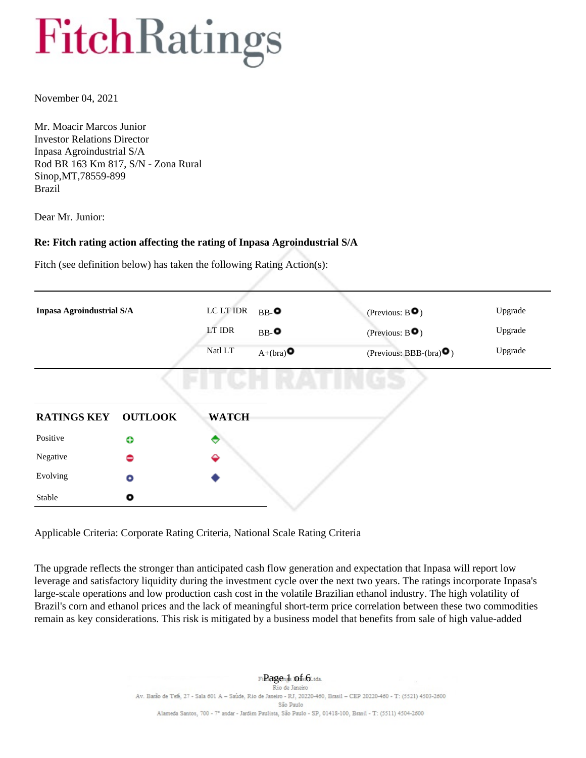November 04, 2021

Mr. Moacir Marcos Junior Investor Relations Director Inpasa Agroindustrial S/A Rod BR 163 Km 817, S/N - Zona Rural Sinop,MT,78559-899 Brazil

Dear Mr. Junior:

#### **Re: Fitch rating action affecting the rating of Inpasa Agroindustrial S/A**

Fitch (see definition below) has taken the following Rating Action(s):

| Inpasa Agroindustrial S/A |                | LC LT IDR    | $BB-$                  | (Previous: $B^{\bullet}$ )       | Upgrade |
|---------------------------|----------------|--------------|------------------------|----------------------------------|---------|
|                           |                | LT IDR       | $BB-2$                 | (Previous: $B\bullet$ )          | Upgrade |
|                           |                | Natl LT      | $A+(bra)$ <sup>O</sup> | (Previous: BBB-(bra) $\bullet$ ) | Upgrade |
|                           |                |              |                        |                                  |         |
| <b>RATINGS KEY</b>        | <b>OUTLOOK</b> | <b>WATCH</b> |                        |                                  |         |
| Positive                  | ≎              | ᢦ            |                        |                                  |         |
| Negative                  | ◓              | ♦            |                        |                                  |         |
| Evolving                  | $\bullet$      |              |                        |                                  |         |
| Stable                    | ۰              |              |                        |                                  |         |

Applicable Criteria: Corporate Rating Criteria, National Scale Rating Criteria

The upgrade reflects the stronger than anticipated cash flow generation and expectation that Inpasa will report low leverage and satisfactory liquidity during the investment cycle over the next two years. The ratings incorporate Inpasa's large-scale operations and low production cash cost in the volatile Brazilian ethanol industry. The high volatility of Brazil's corn and ethanol prices and the lack of meaningful short-term price correlation between these two commodities remain as key considerations. This risk is mitigated by a business model that benefits from sale of high value-added

> $Fi$ **Pagends Of**  $s$ **i** $6$ Ltda. Av. Barão de Tefe, 27 - Sala 601 A - Saúde, Rio de Janeiro - RJ, 20220-460, Brasil - CEP 20220-460 - T: (5521) 4503-2600 São Paulo Alameda Santos, 700 - 7° andar - Jardim Paulista, São Paulo - SP, 01418-100, Brasil - T: (5511) 4504-2600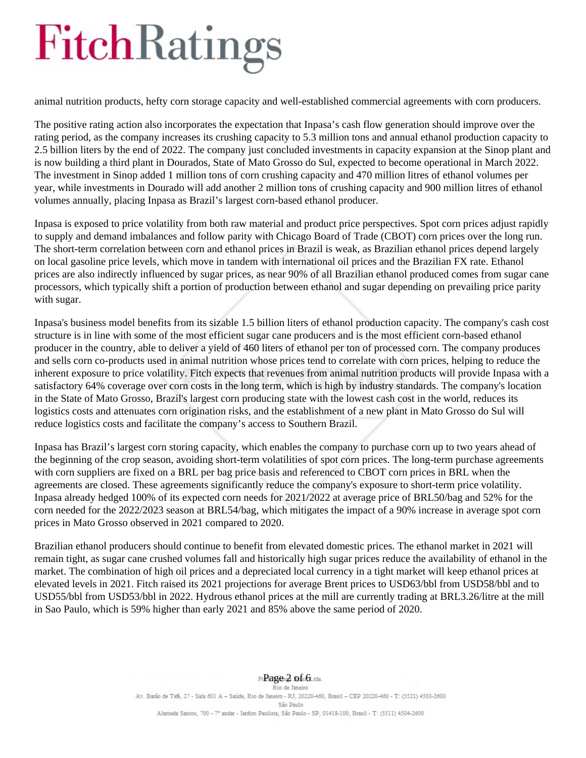animal nutrition products, hefty corn storage capacity and well-established commercial agreements with corn producers.

The positive rating action also incorporates the expectation that Inpasa's cash flow generation should improve over the rating period, as the company increases its crushing capacity to 5.3 million tons and annual ethanol production capacity to 2.5 billion liters by the end of 2022. The company just concluded investments in capacity expansion at the Sinop plant and is now building a third plant in Dourados, State of Mato Grosso do Sul, expected to become operational in March 2022. The investment in Sinop added 1 million tons of corn crushing capacity and 470 million litres of ethanol volumes per year, while investments in Dourado will add another 2 million tons of crushing capacity and 900 million litres of ethanol volumes annually, placing Inpasa as Brazil's largest corn-based ethanol producer.

Inpasa is exposed to price volatility from both raw material and product price perspectives. Spot corn prices adjust rapidly to supply and demand imbalances and follow parity with Chicago Board of Trade (CBOT) corn prices over the long run. The short-term correlation between corn and ethanol prices in Brazil is weak, as Brazilian ethanol prices depend largely on local gasoline price levels, which move in tandem with international oil prices and the Brazilian FX rate. Ethanol prices are also indirectly influenced by sugar prices, as near 90% of all Brazilian ethanol produced comes from sugar cane processors, which typically shift a portion of production between ethanol and sugar depending on prevailing price parity with sugar.

Inpasa's business model benefits from its sizable 1.5 billion liters of ethanol production capacity. The company's cash cost structure is in line with some of the most efficient sugar cane producers and is the most efficient corn-based ethanol producer in the country, able to deliver a yield of 460 liters of ethanol per ton of processed corn. The company produces and sells corn co-products used in animal nutrition whose prices tend to correlate with corn prices, helping to reduce the inherent exposure to price volatility. Fitch expects that revenues from animal nutrition products will provide Inpasa with a satisfactory 64% coverage over corn costs in the long term, which is high by industry standards. The company's location in the State of Mato Grosso, Brazil's largest corn producing state with the lowest cash cost in the world, reduces its logistics costs and attenuates corn origination risks, and the establishment of a new plant in Mato Grosso do Sul will reduce logistics costs and facilitate the company's access to Southern Brazil.

Inpasa has Brazil's largest corn storing capacity, which enables the company to purchase corn up to two years ahead of the beginning of the crop season, avoiding short-term volatilities of spot corn prices. The long-term purchase agreements with corn suppliers are fixed on a BRL per bag price basis and referenced to CBOT corn prices in BRL when the agreements are closed. These agreements significantly reduce the company's exposure to short-term price volatility. Inpasa already hedged 100% of its expected corn needs for 2021/2022 at average price of BRL50/bag and 52% for the corn needed for the 2022/2023 season at BRL54/bag, which mitigates the impact of a 90% increase in average spot corn prices in Mato Grosso observed in 2021 compared to 2020.

Brazilian ethanol producers should continue to benefit from elevated domestic prices. The ethanol market in 2021 will remain tight, as sugar cane crushed volumes fall and historically high sugar prices reduce the availability of ethanol in the market. The combination of high oil prices and a depreciated local currency in a tight market will keep ethanol prices at elevated levels in 2021. Fitch raised its 2021 projections for average Brent prices to USD63/bbl from USD58/bbl and to USD55/bbl from USD53/bbl in 2022. Hydrous ethanol prices at the mill are currently trading at BRL3.26/litre at the mill in Sao Paulo, which is 59% higher than early 2021 and 85% above the same period of 2020.

> Fi**Pagen2** of si6Ltda.<br>Rio de Janeiro Av. Barão de Tefé, 27 - Sala 601 A - Saúde, Rio de Janeiro - RJ, 20220-460, Brasil - CEP 20220-460 - T: (5521) 4503-2600 São Paulo Alameda Santos, 700 - 7° andar - Jardim Paulista, São Paulo - SP, 01418-100, Brasil - T: (5511) 4504-2600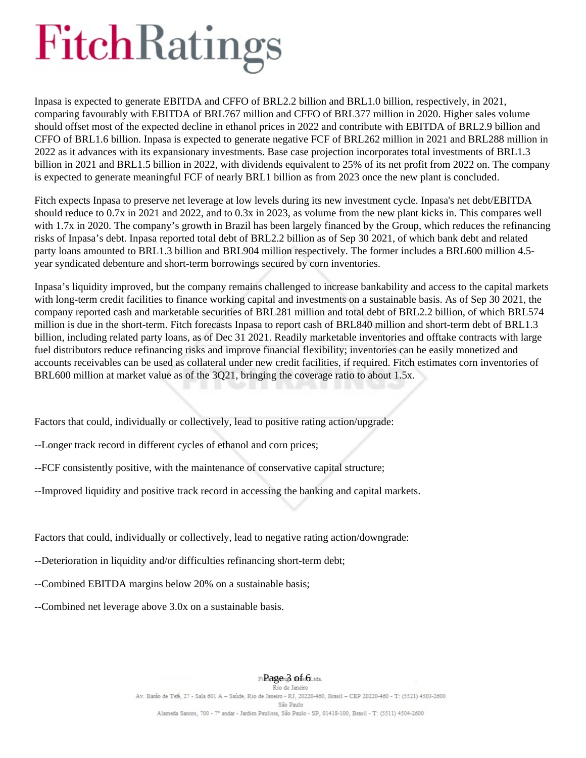Inpasa is expected to generate EBITDA and CFFO of BRL2.2 billion and BRL1.0 billion, respectively, in 2021, comparing favourably with EBITDA of BRL767 million and CFFO of BRL377 million in 2020. Higher sales volume should offset most of the expected decline in ethanol prices in 2022 and contribute with EBITDA of BRL2.9 billion and CFFO of BRL1.6 billion. Inpasa is expected to generate negative FCF of BRL262 million in 2021 and BRL288 million in 2022 as it advances with its expansionary investments. Base case projection incorporates total investments of BRL1.3 billion in 2021 and BRL1.5 billion in 2022, with dividends equivalent to 25% of its net profit from 2022 on. The company is expected to generate meaningful FCF of nearly BRL1 billion as from 2023 once the new plant is concluded.

Fitch expects Inpasa to preserve net leverage at low levels during its new investment cycle. Inpasa's net debt/EBITDA should reduce to 0.7x in 2021 and 2022, and to 0.3x in 2023, as volume from the new plant kicks in. This compares well with 1.7x in 2020. The company's growth in Brazil has been largely financed by the Group, which reduces the refinancing risks of Inpasa's debt. Inpasa reported total debt of BRL2.2 billion as of Sep 30 2021, of which bank debt and related party loans amounted to BRL1.3 billion and BRL904 million respectively. The former includes a BRL600 million 4.5 year syndicated debenture and short-term borrowings secured by corn inventories.

Inpasa's liquidity improved, but the company remains challenged to increase bankability and access to the capital markets with long-term credit facilities to finance working capital and investments on a sustainable basis. As of Sep 30 2021, the company reported cash and marketable securities of BRL281 million and total debt of BRL2.2 billion, of which BRL574 million is due in the short-term. Fitch forecasts Inpasa to report cash of BRL840 million and short-term debt of BRL1.3 billion, including related party loans, as of Dec 31 2021. Readily marketable inventories and offtake contracts with large fuel distributors reduce refinancing risks and improve financial flexibility; inventories can be easily monetized and accounts receivables can be used as collateral under new credit facilities, if required. Fitch estimates corn inventories of BRL600 million at market value as of the 3Q21, bringing the coverage ratio to about 1.5x.

Factors that could, individually or collectively, lead to positive rating action/upgrade:

--Longer track record in different cycles of ethanol and corn prices;

--FCF consistently positive, with the maintenance of conservative capital structure;

--Improved liquidity and positive track record in accessing the banking and capital markets.

Factors that could, individually or collectively, lead to negative rating action/downgrade:

--Deterioration in liquidity and/or difficulties refinancing short-term debt;

--Combined EBITDA margins below 20% on a sustainable basis;

--Combined net leverage above 3.0x on a sustainable basis.

### $Fi$ **Pagen3 of**  $s$ **i6** tota.<br>Rio de Janeiro

Av. Barão de Tefé, 27 - Sala 601 A - Saúde, Rio de Janeiro - RJ, 20220-460, Brasil - CEP 20220-460 - T: (5521) 4503-2600 São Paulo Alameda Santos, 700 - 7° andar - Jardim Paulista, São Paulo - SP, 01418-100, Brasil - T: (5511) 4504-2600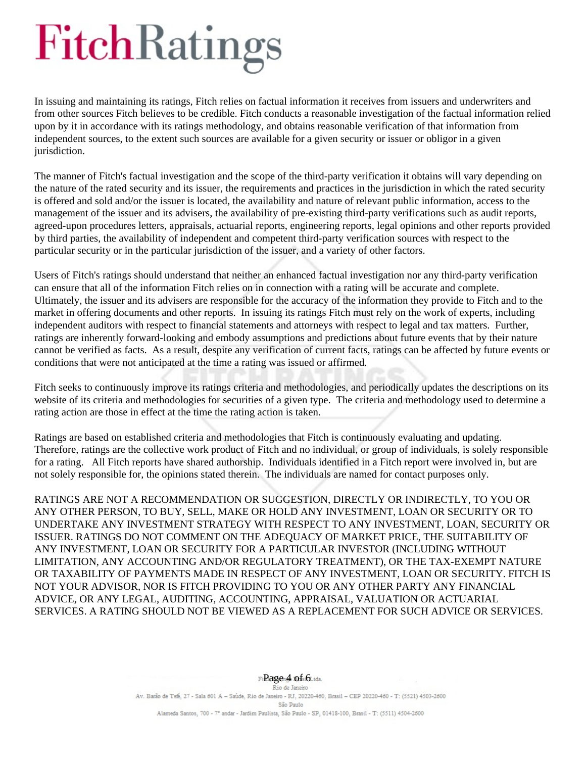In issuing and maintaining its ratings, Fitch relies on factual information it receives from issuers and underwriters and from other sources Fitch believes to be credible. Fitch conducts a reasonable investigation of the factual information relied upon by it in accordance with its ratings methodology, and obtains reasonable verification of that information from independent sources, to the extent such sources are available for a given security or issuer or obligor in a given jurisdiction.

The manner of Fitch's factual investigation and the scope of the third-party verification it obtains will vary depending on the nature of the rated security and its issuer, the requirements and practices in the jurisdiction in which the rated security is offered and sold and/or the issuer is located, the availability and nature of relevant public information, access to the management of the issuer and its advisers, the availability of pre-existing third-party verifications such as audit reports, agreed-upon procedures letters, appraisals, actuarial reports, engineering reports, legal opinions and other reports provided by third parties, the availability of independent and competent third-party verification sources with respect to the particular security or in the particular jurisdiction of the issuer, and a variety of other factors.

Users of Fitch's ratings should understand that neither an enhanced factual investigation nor any third-party verification can ensure that all of the information Fitch relies on in connection with a rating will be accurate and complete. Ultimately, the issuer and its advisers are responsible for the accuracy of the information they provide to Fitch and to the market in offering documents and other reports. In issuing its ratings Fitch must rely on the work of experts, including independent auditors with respect to financial statements and attorneys with respect to legal and tax matters. Further, ratings are inherently forward-looking and embody assumptions and predictions about future events that by their nature cannot be verified as facts. As a result, despite any verification of current facts, ratings can be affected by future events or conditions that were not anticipated at the time a rating was issued or affirmed.

Fitch seeks to continuously improve its ratings criteria and methodologies, and periodically updates the descriptions on its website of its criteria and methodologies for securities of a given type. The criteria and methodology used to determine a rating action are those in effect at the time the rating action is taken.

Ratings are based on established criteria and methodologies that Fitch is continuously evaluating and updating. Therefore, ratings are the collective work product of Fitch and no individual, or group of individuals, is solely responsible for a rating. All Fitch reports have shared authorship. Individuals identified in a Fitch report were involved in, but are not solely responsible for, the opinions stated therein. The individuals are named for contact purposes only.

RATINGS ARE NOT A RECOMMENDATION OR SUGGESTION, DIRECTLY OR INDIRECTLY, TO YOU OR ANY OTHER PERSON, TO BUY, SELL, MAKE OR HOLD ANY INVESTMENT, LOAN OR SECURITY OR TO UNDERTAKE ANY INVESTMENT STRATEGY WITH RESPECT TO ANY INVESTMENT, LOAN, SECURITY OR ISSUER. RATINGS DO NOT COMMENT ON THE ADEQUACY OF MARKET PRICE, THE SUITABILITY OF ANY INVESTMENT, LOAN OR SECURITY FOR A PARTICULAR INVESTOR (INCLUDING WITHOUT LIMITATION, ANY ACCOUNTING AND/OR REGULATORY TREATMENT), OR THE TAX-EXEMPT NATURE OR TAXABILITY OF PAYMENTS MADE IN RESPECT OF ANY INVESTMENT, LOAN OR SECURITY. FITCH IS NOT YOUR ADVISOR, NOR IS FITCH PROVIDING TO YOU OR ANY OTHER PARTY ANY FINANCIAL ADVICE, OR ANY LEGAL, AUDITING, ACCOUNTING, APPRAISAL, VALUATION OR ACTUARIAL SERVICES. A RATING SHOULD NOT BE VIEWED AS A REPLACEMENT FOR SUCH ADVICE OR SERVICES.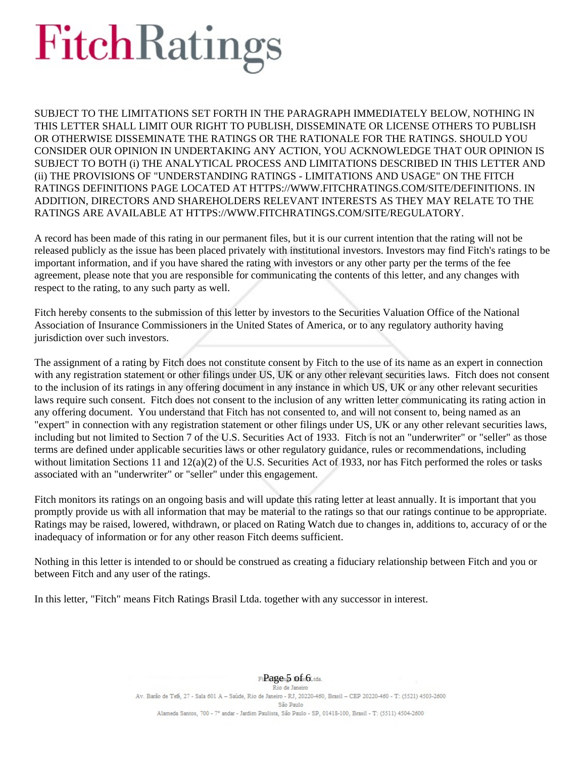SUBJECT TO THE LIMITATIONS SET FORTH IN THE PARAGRAPH IMMEDIATELY BELOW, NOTHING IN THIS LETTER SHALL LIMIT OUR RIGHT TO PUBLISH, DISSEMINATE OR LICENSE OTHERS TO PUBLISH OR OTHERWISE DISSEMINATE THE RATINGS OR THE RATIONALE FOR THE RATINGS. SHOULD YOU CONSIDER OUR OPINION IN UNDERTAKING ANY ACTION, YOU ACKNOWLEDGE THAT OUR OPINION IS SUBJECT TO BOTH (i) THE ANALYTICAL PROCESS AND LIMITATIONS DESCRIBED IN THIS LETTER AND (ii) THE PROVISIONS OF "UNDERSTANDING RATINGS - LIMITATIONS AND USAGE" ON THE FITCH RATINGS DEFINITIONS PAGE LOCATED AT HTTPS://WWW.FITCHRATINGS.COM/SITE/DEFINITIONS. IN ADDITION, DIRECTORS AND SHAREHOLDERS RELEVANT INTERESTS AS THEY MAY RELATE TO THE RATINGS ARE AVAILABLE AT HTTPS://WWW.FITCHRATINGS.COM/SITE/REGULATORY.

A record has been made of this rating in our permanent files, but it is our current intention that the rating will not be released publicly as the issue has been placed privately with institutional investors. Investors may find Fitch's ratings to be important information, and if you have shared the rating with investors or any other party per the terms of the fee agreement, please note that you are responsible for communicating the contents of this letter, and any changes with respect to the rating, to any such party as well.

Fitch hereby consents to the submission of this letter by investors to the Securities Valuation Office of the National Association of Insurance Commissioners in the United States of America, or to any regulatory authority having jurisdiction over such investors.

The assignment of a rating by Fitch does not constitute consent by Fitch to the use of its name as an expert in connection with any registration statement or other filings under US, UK or any other relevant securities laws. Fitch does not consent to the inclusion of its ratings in any offering document in any instance in which US, UK or any other relevant securities laws require such consent. Fitch does not consent to the inclusion of any written letter communicating its rating action in any offering document. You understand that Fitch has not consented to, and will not consent to, being named as an "expert" in connection with any registration statement or other filings under US, UK or any other relevant securities laws, including but not limited to Section 7 of the U.S. Securities Act of 1933. Fitch is not an "underwriter" or "seller" as those terms are defined under applicable securities laws or other regulatory guidance, rules or recommendations, including without limitation Sections 11 and  $12(a)(2)$  of the U.S. Securities Act of 1933, nor has Fitch performed the roles or tasks associated with an "underwriter" or "seller" under this engagement.

Fitch monitors its ratings on an ongoing basis and will update this rating letter at least annually. It is important that you promptly provide us with all information that may be material to the ratings so that our ratings continue to be appropriate. Ratings may be raised, lowered, withdrawn, or placed on Rating Watch due to changes in, additions to, accuracy of or the inadequacy of information or for any other reason Fitch deems sufficient.

Nothing in this letter is intended to or should be construed as creating a fiduciary relationship between Fitch and you or between Fitch and any user of the ratings.

In this letter, "Fitch" means Fitch Ratings Brasil Ltda. together with any successor in interest.

Fi**Page** 5 of si6Ltda.<br>Rio de Janeiro Av. Barão de Tefé, 27 - Sala 601 A - Saúde, Rio de Janeiro - RJ, 20220-460, Brasil - CEP 20220-460 - T: (5521) 4503-2600 São Paulo Alameda Santos, 700 - 7° andar - Jardim Paulista, São Paulo - SP, 01418-100, Brasil - T: (5511) 4504-2600